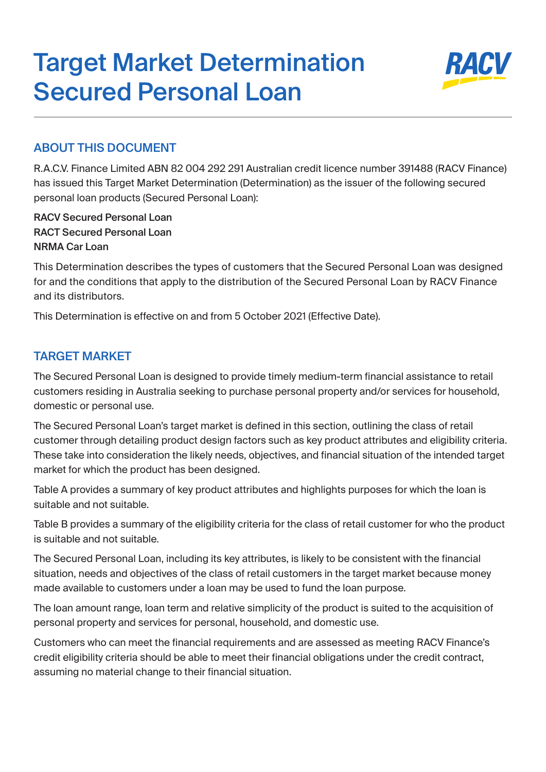# Target Market Determination Secured Personal Loan



## ABOUT THIS DOCUMENT

R.A.C.V. Finance Limited ABN 82 004 292 291 Australian credit licence number 391488 (RACV Finance) has issued this Target Market Determination (Determination) as the issuer of the following secured personal loan products (Secured Personal Loan):

RACV Secured Personal Loan RACT Secured Personal Loan NRMA Car Loan

This Determination describes the types of customers that the Secured Personal Loan was designed for and the conditions that apply to the distribution of the Secured Personal Loan by RACV Finance and its distributors.

This Determination is effective on and from 5 October 2021 (Effective Date).

## TARGET MARKET

The Secured Personal Loan is designed to provide timely medium-term financial assistance to retail customers residing in Australia seeking to purchase personal property and/or services for household, domestic or personal use.

The Secured Personal Loan's target market is defined in this section, outlining the class of retail customer through detailing product design factors such as key product attributes and eligibility criteria. These take into consideration the likely needs, objectives, and financial situation of the intended target market for which the product has been designed.

Table A provides a summary of key product attributes and highlights purposes for which the loan is suitable and not suitable.

Table B provides a summary of the eligibility criteria for the class of retail customer for who the product is suitable and not suitable.

The Secured Personal Loan, including its key attributes, is likely to be consistent with the financial situation, needs and objectives of the class of retail customers in the target market because money made available to customers under a loan may be used to fund the loan purpose.

The loan amount range, loan term and relative simplicity of the product is suited to the acquisition of personal property and services for personal, household, and domestic use.

Customers who can meet the financial requirements and are assessed as meeting RACV Finance's credit eligibility criteria should be able to meet their financial obligations under the credit contract, assuming no material change to their financial situation.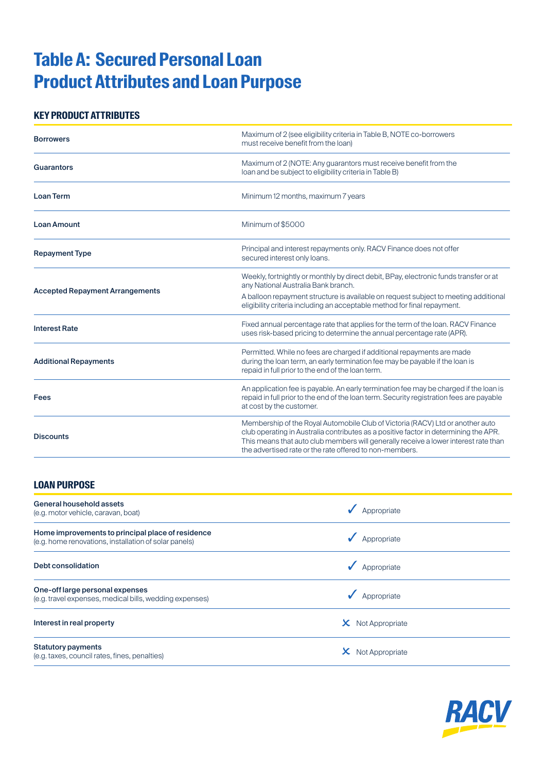## **Table A: Secured Personal Loan Product Attributes and Loan Purpose**

### **KEY PRODUCT ATTRIBUTES**

| <b>Borrowers</b>                       | Maximum of 2 (see eligibility criteria in Table B, NOTE co-borrowers<br>must receive benefit from the loan)                                                                                                                                                                                                              |  |  |
|----------------------------------------|--------------------------------------------------------------------------------------------------------------------------------------------------------------------------------------------------------------------------------------------------------------------------------------------------------------------------|--|--|
| Guarantors                             | Maximum of 2 (NOTE: Any guarantors must receive benefit from the<br>Ioan and be subject to eligibility criteria in Table B)                                                                                                                                                                                              |  |  |
| <b>Loan Term</b>                       | Minimum 12 months, maximum 7 years                                                                                                                                                                                                                                                                                       |  |  |
| <b>Loan Amount</b>                     | Minimum of \$5000                                                                                                                                                                                                                                                                                                        |  |  |
| <b>Repayment Type</b>                  | Principal and interest repayments only. RACV Finance does not offer<br>secured interest only loans.                                                                                                                                                                                                                      |  |  |
|                                        | Weekly, fortnightly or monthly by direct debit, BPay, electronic funds transfer or at<br>any National Australia Bank branch.                                                                                                                                                                                             |  |  |
| <b>Accepted Repayment Arrangements</b> | A balloon repayment structure is available on request subject to meeting additional<br>eligibility criteria including an acceptable method for final repayment.                                                                                                                                                          |  |  |
| <b>Interest Rate</b>                   | Fixed annual percentage rate that applies for the term of the loan. RACV Finance<br>uses risk-based pricing to determine the annual percentage rate (APR).                                                                                                                                                               |  |  |
| <b>Additional Repayments</b>           | Permitted. While no fees are charged if additional repayments are made<br>during the loan term, an early termination fee may be payable if the loan is<br>repaid in full prior to the end of the loan term.                                                                                                              |  |  |
| Fees                                   | An application fee is payable. An early termination fee may be charged if the loan is<br>repaid in full prior to the end of the loan term. Security registration fees are payable<br>at cost by the customer.                                                                                                            |  |  |
| <b>Discounts</b>                       | Membership of the Royal Automobile Club of Victoria (RACV) Ltd or another auto<br>club operating in Australia contributes as a positive factor in determining the APR.<br>This means that auto club members will generally receive a lower interest rate than<br>the advertised rate or the rate offered to non-members. |  |  |

#### **LOAN PURPOSE**

| General household assets<br>(e.g. motor vehicle, caravan, boat)                                            | Appropriate     |
|------------------------------------------------------------------------------------------------------------|-----------------|
| Home improvements to principal place of residence<br>(e.g. home renovations, installation of solar panels) | Appropriate     |
| Debt consolidation                                                                                         | Appropriate     |
| One-off large personal expenses<br>(e.g. travel expenses, medical bills, wedding expenses)                 | Appropriate     |
| Interest in real property                                                                                  | Not Appropriate |
| <b>Statutory payments</b><br>(e.g. taxes, council rates, fines, penalties)                                 | Not Appropriate |

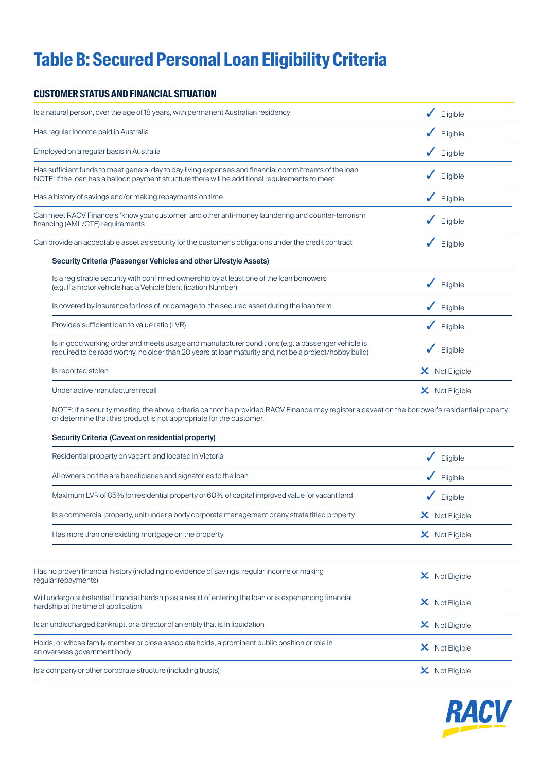# **Table B: Secured Personal Loan Eligibility Criteria**

#### **CUSTOMER STATUS AND FINANCIAL SITUATION**

| Is a natural person, over the age of 18 years, with permanent Australian residency                                                                                                                                 | Eligible              |
|--------------------------------------------------------------------------------------------------------------------------------------------------------------------------------------------------------------------|-----------------------|
| Has regular income paid in Australia                                                                                                                                                                               | Eligible              |
| Employed on a regular basis in Australia                                                                                                                                                                           | Eligible              |
| Has sufficient funds to meet general day to day living expenses and financial commitments of the loan<br>NOTE: If the loan has a balloon payment structure there will be additional requirements to meet           | Eligible              |
| Has a history of savings and/or making repayments on time                                                                                                                                                          | Eligible              |
| Can meet RACV Finance's 'know your customer' and other anti-money laundering and counter-terrorism<br>financing (AML/CTF) requirements                                                                             | Eligible              |
| Can provide an acceptable asset as security for the customer's obligations under the credit contract                                                                                                               | Eligible              |
| Security Criteria (Passenger Vehicles and other Lifestyle Assets)                                                                                                                                                  |                       |
| Is a registrable security with confirmed ownership by at least one of the loan borrowers<br>(e.g. If a motor vehicle has a Vehicle Identification Number)                                                          | Eligible              |
| Is covered by insurance for loss of, or damage to, the secured asset during the loan term                                                                                                                          | Eligible              |
| Provides sufficient loan to value ratio (LVR)                                                                                                                                                                      | Eligible              |
| Is in good working order and meets usage and manufacturer conditions (e.g. a passenger vehicle is<br>required to be road worthy, no older than 20 years at loan maturity and, not be a project/hobby build)        | Eligible              |
| Is reported stolen                                                                                                                                                                                                 | X Not Eligible        |
| Under active manufacturer recall                                                                                                                                                                                   | $\times$ Not Eligible |
| NOTE: If a security meeting the above criteria cannot be provided RACV Finance may register a caveat on the borrower's residential property<br>or determine that this product is not appropriate for the customer. |                       |
| Security Criteria (Caveat on residential property)                                                                                                                                                                 |                       |

| Residential property on vacant land located in Victoria                                                                                          | Eligible                    |  |  |
|--------------------------------------------------------------------------------------------------------------------------------------------------|-----------------------------|--|--|
| All owners on title are beneficiaries and signatories to the loan                                                                                | Eligible<br>✔               |  |  |
| Maximum LVR of 85% for residential property or 60% of capital improved value for vacant land                                                     | Eligible<br>✔               |  |  |
| Is a commercial property, unit under a body corporate management or any strata titled property                                                   | Not Eligible<br>X.          |  |  |
| Has more than one existing mortgage on the property                                                                                              | X.<br>Not Eligible          |  |  |
|                                                                                                                                                  |                             |  |  |
| Has no proven financial history (including no evidence of savings, regular income or making<br>regular repayments)                               | Not Eligible<br>X.          |  |  |
| Will undergo substantial financial hardship as a result of entering the loan or is experiencing financial<br>hardship at the time of application | $\mathbf x$<br>Not Eligible |  |  |
| Is an undischarged bankrupt, or a director of an entity that is in liquidation                                                                   | x<br>Not Eligible           |  |  |
| Holds, or whose family member or close associate holds, a prominent public position or role in<br>an overseas government body                    | Not Eligible<br>x           |  |  |
| Is a company or other corporate structure (including trusts)                                                                                     | Not Eligible                |  |  |

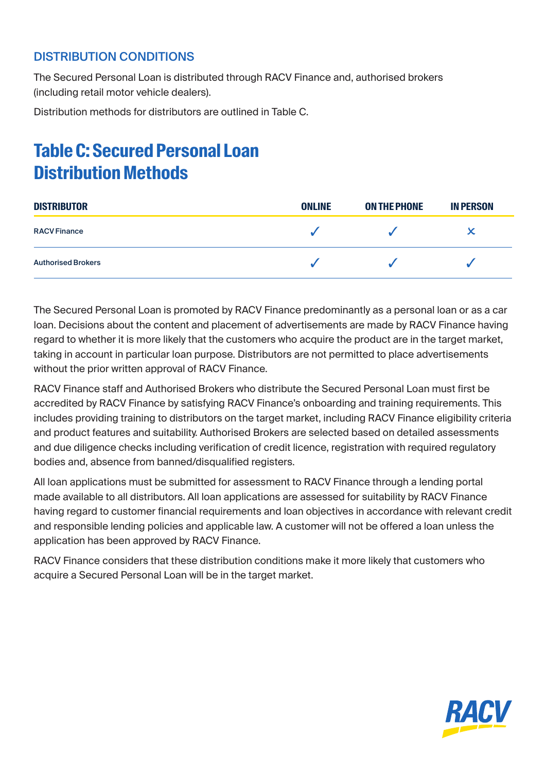## DISTRIBUTION CONDITIONS

The Secured Personal Loan is distributed through RACV Finance and, authorised brokers (including retail motor vehicle dealers).

Distribution methods for distributors are outlined in Table C.

## **Table C: Secured Personal Loan Distribution Methods**

| <b>DISTRIBUTOR</b>        | <b>ONLINE</b> | <b>ON THE PHONE</b> | <b>IN PERSON</b> |
|---------------------------|---------------|---------------------|------------------|
| <b>RACV Finance</b>       |               |                     | X                |
| <b>Authorised Brokers</b> |               |                     |                  |

The Secured Personal Loan is promoted by RACV Finance predominantly as a personal loan or as a car loan. Decisions about the content and placement of advertisements are made by RACV Finance having regard to whether it is more likely that the customers who acquire the product are in the target market, taking in account in particular loan purpose. Distributors are not permitted to place advertisements without the prior written approval of RACV Finance.

RACV Finance staff and Authorised Brokers who distribute the Secured Personal Loan must first be accredited by RACV Finance by satisfying RACV Finance's onboarding and training requirements. This includes providing training to distributors on the target market, including RACV Finance eligibility criteria and product features and suitability. Authorised Brokers are selected based on detailed assessments and due diligence checks including verification of credit licence, registration with required regulatory bodies and, absence from banned/disqualified registers.

All loan applications must be submitted for assessment to RACV Finance through a lending portal made available to all distributors. All loan applications are assessed for suitability by RACV Finance having regard to customer financial requirements and loan objectives in accordance with relevant credit and responsible lending policies and applicable law. A customer will not be offered a loan unless the application has been approved by RACV Finance.

RACV Finance considers that these distribution conditions make it more likely that customers who acquire a Secured Personal Loan will be in the target market.